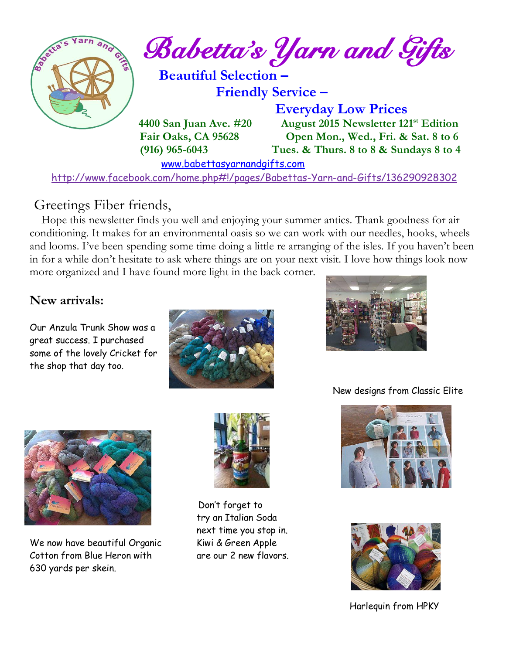

## Greetings Fiber friends,

 Hope this newsletter finds you well and enjoying your summer antics. Thank goodness for air conditioning. It makes for an environmental oasis so we can work with our needles, hooks, wheels and looms. I've been spending some time doing a little re arranging of the isles. If you haven't been in for a while don't hesitate to ask where things are on your next visit. I love how things look now more organized and I have found more light in the back corner.

## **New arrivals:**

Our Anzula Trunk Show was a great success. I purchased some of the lovely Cricket for the shop that day too.





New designs from Classic Elite



We now have beautiful Organic Kiwi & Green Apple Cotton from Blue Heron with are our 2 new flavors. 630 yards per skein.



 Don't forget to try an Italian Soda next time you stop in.





Harlequin from HPKY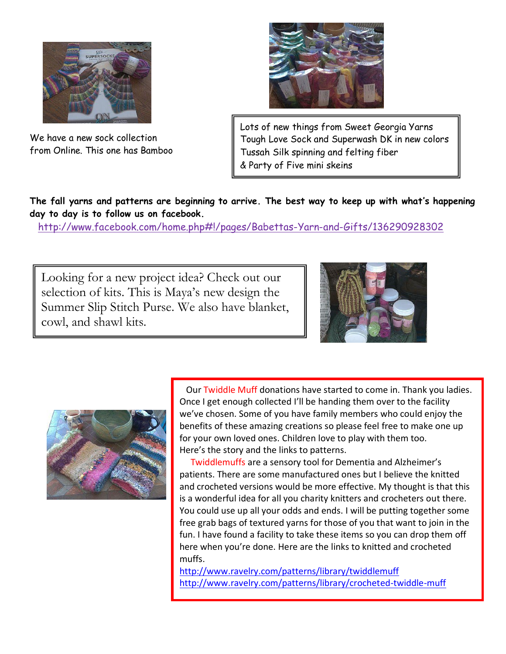

We have a new sock collection from Online. This one has Bamboo



Lots of new things from Sweet Georgia Yarns Tough Love Sock and Superwash DK in new colors Tussah Silk spinning and felting fiber & Party of Five mini skeins

**The fall yarns and patterns are beginning to arrive. The best way to keep up with what's happening day to day is to follow us on facebook.**

<http://www.facebook.com/home.php#!/pages/Babettas-Yarn-and-Gifts/136290928302>

Looking for a new project idea? Check out our selection of kits. This is Maya's new design the Summer Slip Stitch Purse. We also have blanket, cowl, and shawl kits.





 Our Twiddle Muff donations have started to come in. Thank you ladies. Once I get enough collected I'll be handing them over to the facility we've chosen. Some of you have family members who could enjoy the benefits of these amazing creations so please feel free to make one up for your own loved ones. Children love to play with them too. Here's the story and the links to patterns.

 Twiddlemuffs are a sensory tool for Dementia and Alzheimer's patients. There are some manufactured ones but I believe the knitted and crocheted versions would be more effective. My thought is that this is a wonderful idea for all you charity knitters and crocheters out there. You could use up all your odds and ends. I will be putting together some free grab bags of textured yarns for those of you that want to join in the fun. I have found a facility to take these items so you can drop them off here when you're done. Here are the links to knitted and crocheted muffs.

<http://www.ravelry.com/patterns/library/twiddlemuff> <http://www.ravelry.com/patterns/library/crocheted-twiddle-muff>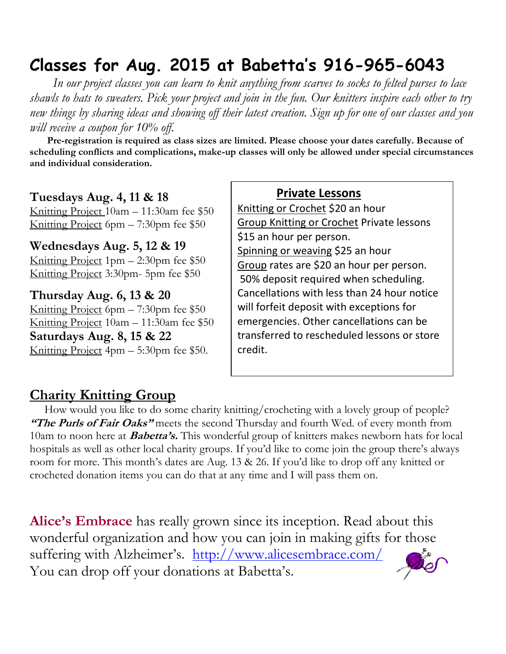# **Classes for Aug. 2015 at Babetta's 916-965-6043**

 *In our project classes you can learn to knit anything from scarves to socks to felted purses to lace shawls to hats to sweaters. Pick your project and join in the fun. Our knitters inspire each other to try new things by sharing ideas and showing off their latest creation. Sign up for one of our classes and you will receive a coupon for 10% off.*

 **Pre-registration is required as class sizes are limited. Please choose your dates carefully. Because of scheduling conflicts and complications, make-up classes will only be allowed under special circumstances and individual consideration.**

#### **Tuesdays Aug. 4, 11 & 18**

Knitting Project 10am – 11:30am fee \$50 Knitting Project 6pm – 7:30pm fee \$50

**Wednesdays Aug. 5, 12 & 19**

Knitting Project 1pm – 2:30pm fee \$50 Knitting Project 3:30pm- 5pm fee \$50

**Thursday Aug. 6, 13 & 20** Knitting Project 6pm – 7:30pm fee \$50 Knitting Project 10am – 11:30am fee \$50 **Saturdays Aug. 8, 15 & 22** Knitting Project 4pm – 5:30pm fee \$50.

#### **Private Lessons**

Knitting or Crochet \$20 an hour Group Knitting or Crochet Private lessons \$15 an hour per person. Spinning or weaving \$25 an hour Group rates are \$20 an hour per person. 50% deposit required when scheduling. Cancellations with less than 24 hour notice will forfeit deposit with exceptions for emergencies. Other cancellations can be transferred to rescheduled lessons or store credit.

## **Charity Knitting Group**

 How would you like to do some charity knitting/crocheting with a lovely group of people? "The Purls of Fair Oaks" meets the second Thursday and fourth Wed. of every month from 10am to noon here at **Babetta's.** This wonderful group of knitters makes newborn hats for local hospitals as well as other local charity groups. If you'd like to come join the group there's always room for more. This month's dates are Aug. 13 & 26. If you'd like to drop off any knitted or crocheted donation items you can do that at any time and I will pass them on.

**Alice's Embrace** has really grown since its inception. Read about this wonderful organization and how you can join in making gifts for those suffering with Alzheimer's. http://www.alicesembrace.com/ You can drop off your donations at Babetta's.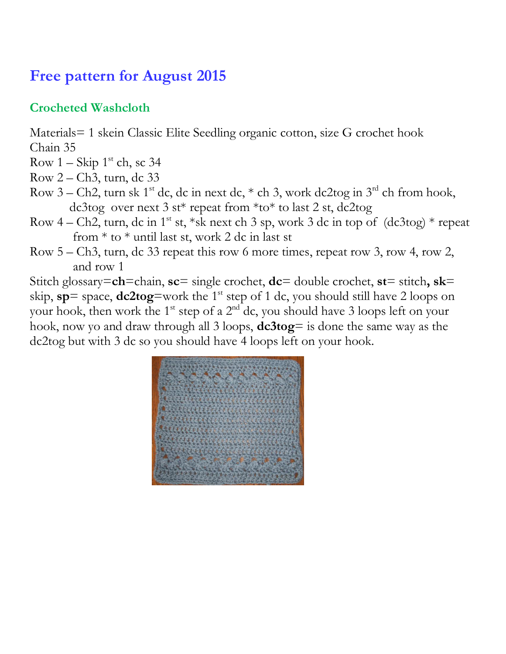## **Free pattern for August 2015**

## **Crocheted Washcloth**

Materials= 1 skein Classic Elite Seedling organic cotton, size G crochet hook Chain 35

- Row  $1 -$  Skip  $1^{st}$  ch, sc 34
- Row 2 Ch3, turn, dc 33
- Row 3 Ch2, turn sk 1<sup>st</sup> dc, dc in next dc,  $*$  ch 3, work dc2tog in 3<sup>rd</sup> ch from hook, dc3tog over next 3 st\* repeat from \*to\* to last 2 st, dc2tog
- Row 4 Ch2, turn, dc in 1<sup>st</sup> st, \*sk next ch 3 sp, work 3 dc in top of  $(dc3tog)$  \* repeat from  $*$  to  $*$  until last st, work 2 dc in last st
- Row 5 Ch3, turn, dc 33 repeat this row 6 more times, repeat row 3, row 4, row 2, and row 1

Stitch glossary=**ch**=chain, **sc**= single crochet, **dc**= double crochet, **st**= stitch**, sk**= skip,  $sp =$  space,  $dc2tog =$ work the 1<sup>st</sup> step of 1 dc, you should still have 2 loops on your hook, then work the 1<sup>st</sup> step of a 2<sup>nd</sup> dc, you should have 3 loops left on your hook, now yo and draw through all 3 loops, **dc3tog**= is done the same way as the dc2tog but with 3 dc so you should have 4 loops left on your hook.